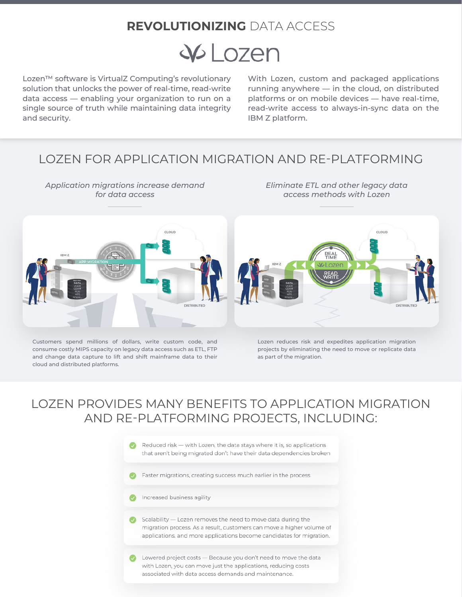## **REVOLUTIONIZING** DATA ACCESS

# $W$  Lozen

Lozen™ software is VirtualZ Computing's revolutionary solution that unlocks the power of real-time, read-write data access — enabling your organization to run on a single source of truth while maintaining data integrity and security.

> *Application migrations increase demand for data access*

With Lozen, custom and packaged applications running anywhere — in the cloud, on distributed platforms or on mobile devices — have real-time, read-write access to always-in-sync data on the IBM Z platform.

*Eliminate ETL and other legacy data access methods with Lozen*

### LOZEN FOR APPLICATION MIGRATION AND RE-PLATFORMING



Customers spend millions of dollars, write custom code, and consume costly MIPS capacity on legacy data access such as ETL, FTP and change data capture to lift and shift mainframe data to their cloud and distributed platforms.

Lozen reduces risk and expedites application migration projects by eliminating the need to move or replicate data as part of the migration.

# LOZEN PROVIDES MANY BENEFITS TO APPLICATION MIGRATION AND RE-PLATFORMING PROJECTS, INCLUDING: